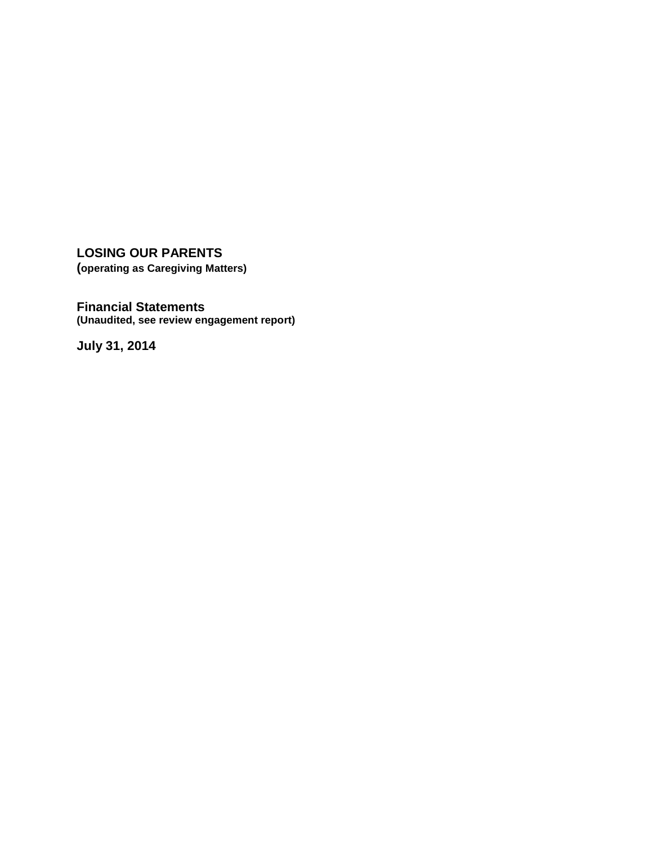**LOSING OUR PARENTS (operating as Caregiving Matters)**

**Financial Statements (Unaudited, see review engagement report)**

**July 31, 2014**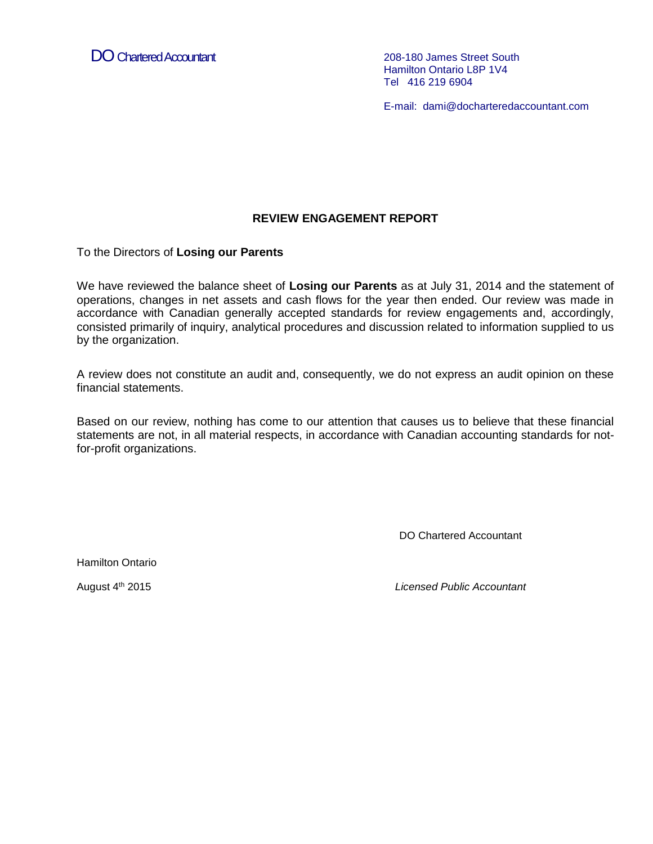DO Chartered Accountant 208-180 James Street South

Hamilton Ontario L8P 1V4 Tel 416 219 6904

E-mail: dami@docharteredaccountant.com

### **REVIEW ENGAGEMENT REPORT**

To the Directors of **Losing our Parents**

We have reviewed the balance sheet of **Losing our Parents** as at July 31, 2014 and the statement of operations, changes in net assets and cash flows for the year then ended. Our review was made in accordance with Canadian generally accepted standards for review engagements and, accordingly, consisted primarily of inquiry, analytical procedures and discussion related to information supplied to us by the organization.

A review does not constitute an audit and, consequently, we do not express an audit opinion on these financial statements.

Based on our review, nothing has come to our attention that causes us to believe that these financial statements are not, in all material respects, in accordance with Canadian accounting standards for notfor-profit organizations.

DO Chartered Accountant

Hamilton Ontario

August 4<sup>th</sup> 2015

**Licensed Public Accountant**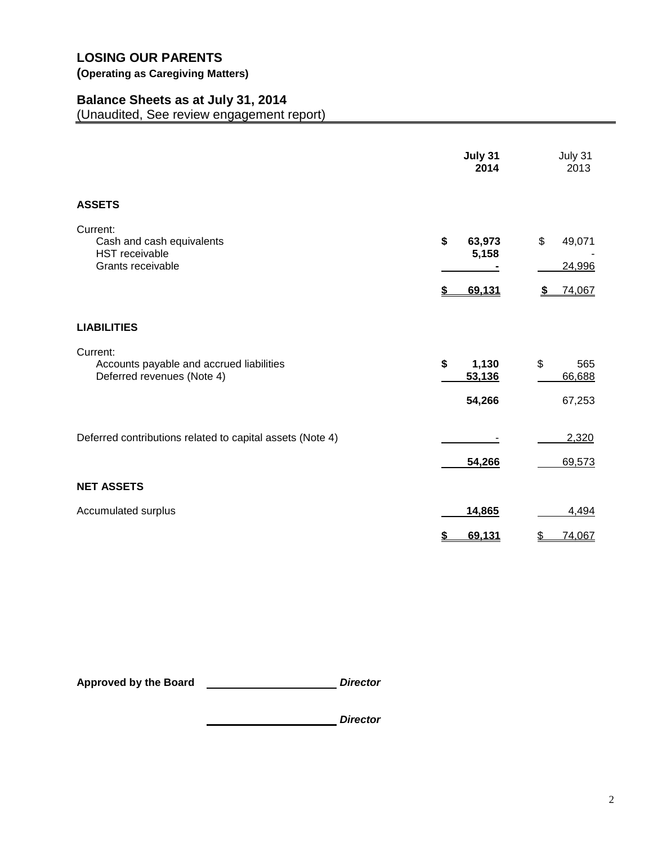# **(Operating as Caregiving Matters)**

## **Balance Sheets as at July 31, 2014**

(Unaudited, See review engagement report)

|                                                                                     | July 31<br>2014                 | July 31<br>2013                  |
|-------------------------------------------------------------------------------------|---------------------------------|----------------------------------|
| <b>ASSETS</b>                                                                       |                                 |                                  |
| Current:<br>Cash and cash equivalents<br><b>HST</b> receivable<br>Grants receivable | \$<br>63,973<br>5,158<br>69,131 | \$<br>49,071<br>24,996<br>74,067 |
| <b>LIABILITIES</b>                                                                  |                                 |                                  |
| Current:<br>Accounts payable and accrued liabilities<br>Deferred revenues (Note 4)  | \$<br>1,130<br>53,136<br>54,266 | \$<br>565<br>66,688<br>67,253    |
| Deferred contributions related to capital assets (Note 4)                           | 54,266                          | 2,320<br>69,573                  |
| <b>NET ASSETS</b>                                                                   |                                 |                                  |
| Accumulated surplus                                                                 | 14,865                          | 4,494                            |
|                                                                                     | \$<br>69,131                    | \$<br>74,067                     |

**Approved by the Board** *Director*

*Director*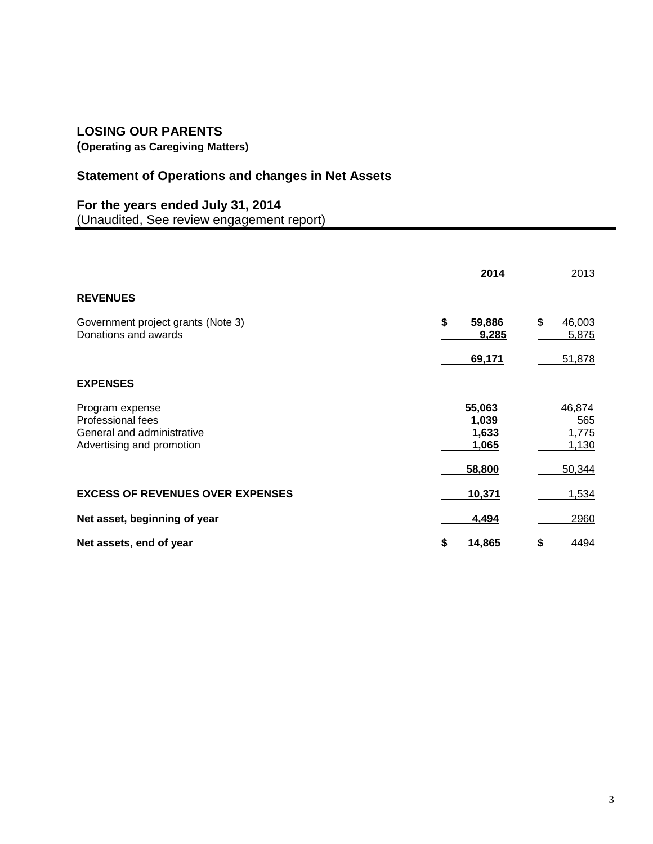**(Operating as Caregiving Matters)**

# **Statement of Operations and changes in Net Assets**

# **For the years ended July 31, 2014**

(Unaudited, See review engagement report)

|                                                                                                 | 2014                              | 2013                            |
|-------------------------------------------------------------------------------------------------|-----------------------------------|---------------------------------|
| <b>REVENUES</b>                                                                                 |                                   |                                 |
| Government project grants (Note 3)<br>Donations and awards                                      | \$<br>59,886<br>9,285             | \$<br>46,003<br>5,875           |
|                                                                                                 | 69,171                            | 51,878                          |
| <b>EXPENSES</b>                                                                                 |                                   |                                 |
| Program expense<br>Professional fees<br>General and administrative<br>Advertising and promotion | 55,063<br>1,039<br>1,633<br>1,065 | 46,874<br>565<br>1,775<br>1,130 |
|                                                                                                 | 58,800                            | 50,344                          |
| <b>EXCESS OF REVENUES OVER EXPENSES</b>                                                         | 10,371                            | 1,534                           |
| Net asset, beginning of year                                                                    | 4,494                             | 2960                            |
| Net assets, end of year                                                                         | 14,865                            | 4494                            |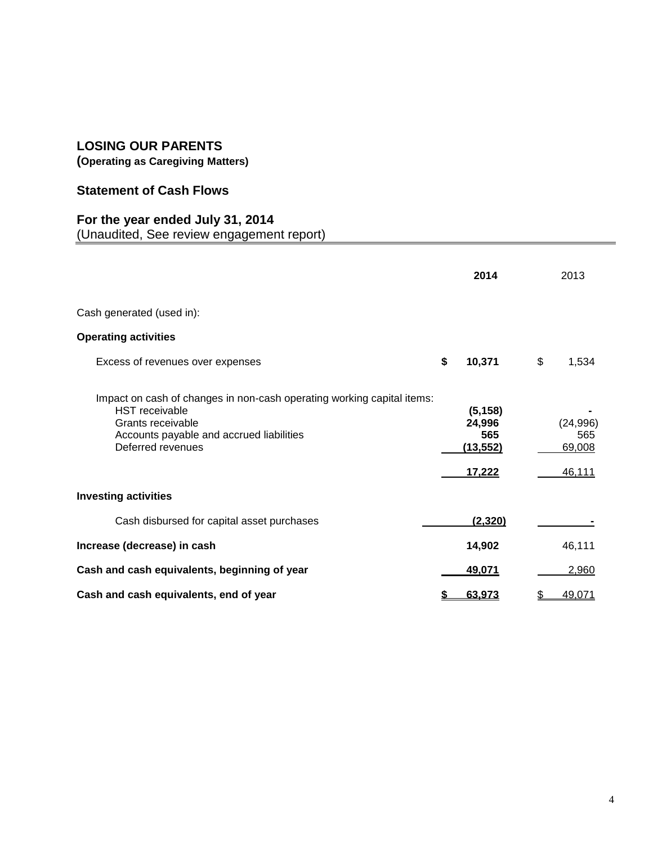**(Operating as Caregiving Matters)**

# **Statement of Cash Flows**

## **For the year ended July 31, 2014**

(Unaudited, See review engagement report)

|                                                                                                                                                                                       | 2014                                                    | 2013                                 |
|---------------------------------------------------------------------------------------------------------------------------------------------------------------------------------------|---------------------------------------------------------|--------------------------------------|
| Cash generated (used in):                                                                                                                                                             |                                                         |                                      |
| <b>Operating activities</b>                                                                                                                                                           |                                                         |                                      |
| Excess of revenues over expenses                                                                                                                                                      | \$<br>10,371                                            | \$<br>1,534                          |
| Impact on cash of changes in non-cash operating working capital items:<br><b>HST</b> receivable<br>Grants receivable<br>Accounts payable and accrued liabilities<br>Deferred revenues | (5, 158)<br>24,996<br>565<br>(13, 552)<br><u>17,222</u> | (24, 996)<br>565<br>69,008<br>46,111 |
| <b>Investing activities</b>                                                                                                                                                           |                                                         |                                      |
| Cash disbursed for capital asset purchases                                                                                                                                            | (2, 320)                                                |                                      |
| Increase (decrease) in cash                                                                                                                                                           | 14,902                                                  | 46,111                               |
| Cash and cash equivalents, beginning of year                                                                                                                                          | 49,071                                                  | 2,960                                |
| Cash and cash equivalents, end of year                                                                                                                                                | 63,973                                                  | \$<br>49,071                         |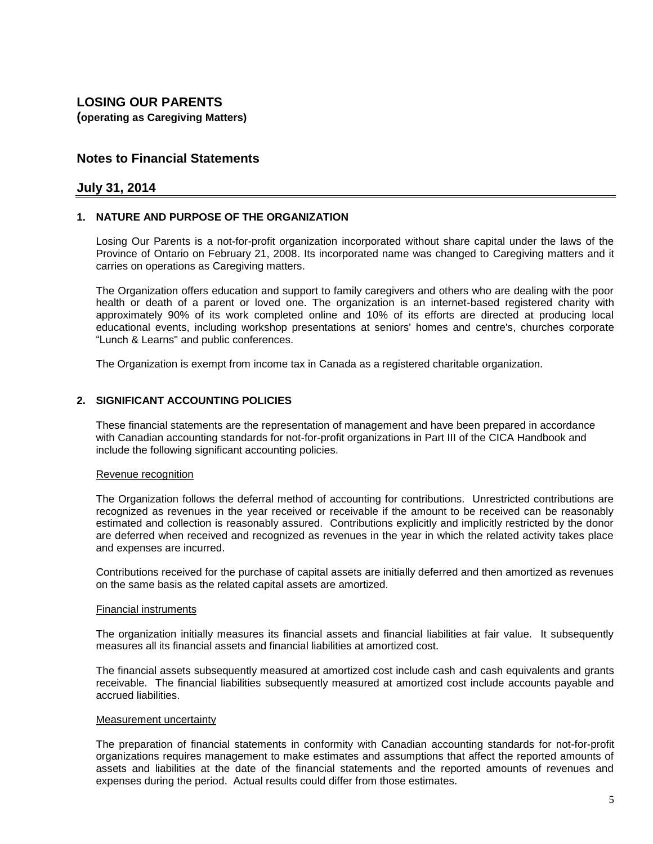**(operating as Caregiving Matters)**

### **Notes to Financial Statements**

#### **July 31, 2014**

#### **1. NATURE AND PURPOSE OF THE ORGANIZATION**

Losing Our Parents is a not-for-profit organization incorporated without share capital under the laws of the Province of Ontario on February 21, 2008. Its incorporated name was changed to Caregiving matters and it carries on operations as Caregiving matters.

The Organization offers education and support to family caregivers and others who are dealing with the poor health or death of a parent or loved one. The organization is an internet-based registered charity with approximately 90% of its work completed online and 10% of its efforts are directed at producing local educational events, including workshop presentations at seniors' homes and centre's, churches corporate "Lunch & Learns" and public conferences.

The Organization is exempt from income tax in Canada as a registered charitable organization.

#### **2. SIGNIFICANT ACCOUNTING POLICIES**

These financial statements are the representation of management and have been prepared in accordance with Canadian accounting standards for not-for-profit organizations in Part III of the CICA Handbook and include the following significant accounting policies.

#### Revenue recognition

The Organization follows the deferral method of accounting for contributions. Unrestricted contributions are recognized as revenues in the year received or receivable if the amount to be received can be reasonably estimated and collection is reasonably assured. Contributions explicitly and implicitly restricted by the donor are deferred when received and recognized as revenues in the year in which the related activity takes place and expenses are incurred.

Contributions received for the purchase of capital assets are initially deferred and then amortized as revenues on the same basis as the related capital assets are amortized.

#### Financial instruments

The organization initially measures its financial assets and financial liabilities at fair value. It subsequently measures all its financial assets and financial liabilities at amortized cost.

The financial assets subsequently measured at amortized cost include cash and cash equivalents and grants receivable. The financial liabilities subsequently measured at amortized cost include accounts payable and accrued liabilities.

#### Measurement uncertainty

The preparation of financial statements in conformity with Canadian accounting standards for not-for-profit organizations requires management to make estimates and assumptions that affect the reported amounts of assets and liabilities at the date of the financial statements and the reported amounts of revenues and expenses during the period. Actual results could differ from those estimates.